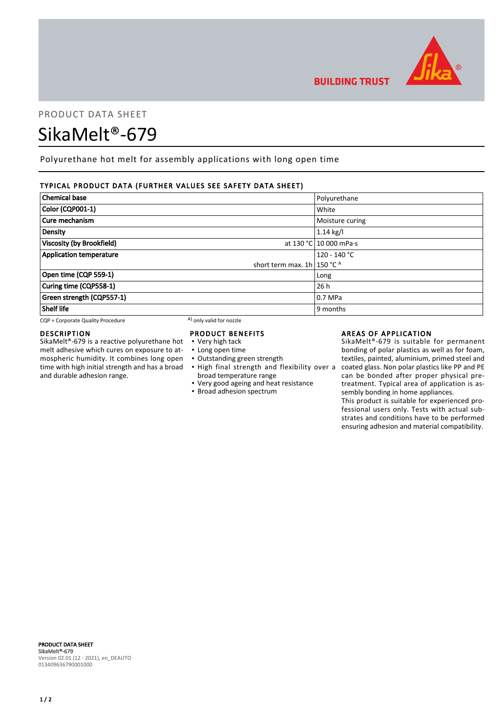

# PRODUCT DATA SHEET

# SikaMelt®-679

Polyurethane hot melt for assembly applications with long open time

# TYPICAL PRODUCT DATA (FURTHER VALUES SEE SAFETY DATA SHEET)

| <b>Chemical base</b>             | Polyurethane           |
|----------------------------------|------------------------|
| Color (CQP001-1)                 | White                  |
| Cure mechanism                   | Moisture curing        |
| Density                          | $1.14$ kg/l            |
| Viscosity (by Brookfield)        | at 130 °C 10 000 mPa·s |
| <b>Application temperature</b>   | $120 - 140 °C$         |
| short term max. $1h$ 150 °C $^A$ |                        |
| Open time (CQP 559-1)            | Long                   |
| Curing time (CQP558-1)           | 26h                    |
| Green strength (CQP557-1)        | $0.7$ MPa              |
| Shelf life                       | 9 months               |

 $CQP =$  Corporate Quality Procedure  $(A)$  only valid for nozzle

# DESCRIPTION

SikaMelt®-679 is a reactive polyurethane hot melt adhesive which cures on exposure to atmospheric humidity. It combines long open time with high initial strength and has a broad and durable adhesion range.

### PRODUCT BENEFITS

- Very high tack
- Long open time
- Outstanding green strength
- . High final strength and flexibility over a broad temperature range
- Very good ageing and heat resistance
- **·** Broad adhesion spectrum

# AREAS OF APPLICATION

SikaMelt®-679 is suitable for permanent bonding of polar plastics as well as for foam, textiles, painted, aluminium, primed steel and coated glass. Non polar plastics like PP and PE can be bonded after proper physical pretreatment. Typical area of application is assembly bonding in home appliances.

This product is suitable for experienced professional users only. Tests with actual substrates and conditions have to be performed ensuring adhesion and material compatibility.